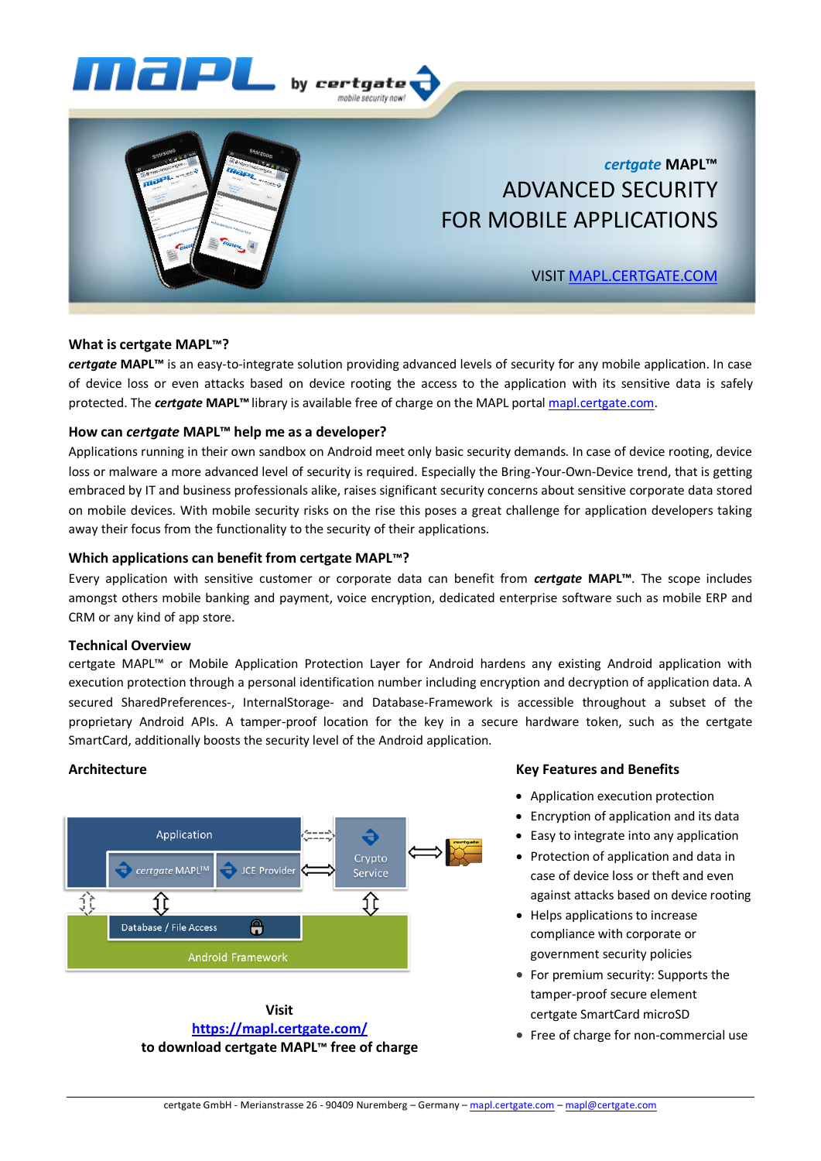



# *certgate* **MAPL™** ADVANCED SECURITY FOR MOBILE APPLICATIONS

# VISIT [MAPL.CERTGATE.COM](https://mapl.certgate.com/)

# **What is certgate MAPL™?**

*certgate* **MAPL™** is an easy-to-integrate solution providing advanced levels of security for any mobile application. In case of device loss or even attacks based on device rooting the access to the application with its sensitive data is safely protected. The *certgate* **MAPL™**library is available free of charge on the MAPL porta[l mapl.certgate.com.](https://mapl.certgate.com/)

## **How can** *certgate* **MAPL™ help me as a developer?**

Applications running in their own sandbox on Android meet only basic security demands. In case of device rooting, device loss or malware a more advanced level of security is required. Especially the Bring-Your-Own-Device trend, that is getting embraced by IT and business professionals alike, raises significant security concerns about sensitive corporate data stored on mobile devices. With mobile security risks on the rise this poses a great challenge for application developers taking away their focus from the functionality to the security of their applications.

## **Which applications can benefit from certgate MAPL™?**

Every application with sensitive customer or corporate data can benefit from *certgate* **MAPL™**. The scope includes amongst others mobile banking and payment, voice encryption, dedicated enterprise software such as mobile ERP and CRM or any kind of app store.

#### **Technical Overview**

certgate MAPL™ or Mobile Application Protection Layer for Android hardens any existing Android application with execution protection through a personal identification number including encryption and decryption of application data. A secured SharedPreferences-, InternalStorage- and Database-Framework is accessible throughout a subset of the proprietary Android APIs. A tamper-proof location for the key in a secure hardware token, such as the certgate SmartCard, additionally boosts the security level of the Android application.

# **Architecture**



**Visit <https://mapl.certgate.com/> to download certgate MAPL™ free of charge**

#### **Key Features and Benefits**

- Application execution protection
- Encryption of application and its data
- Easy to integrate into any application
- Protection of application and data in case of device loss or theft and even against attacks based on device rooting
- Helps applications to increase compliance with corporate or government security policies
- For premium security: Supports the tamper-proof secure element certgate SmartCard microSD
- Free of charge for non-commercial use